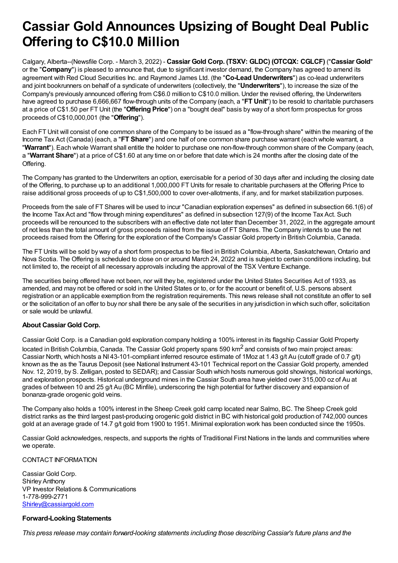## **Cassiar Gold Announces Upsizing of Bought Deal Public Offering to C\$10.0 Million**

Calgary, Alberta--(Newsfile Corp. - March 3, 2022) - **Cassiar Gold Corp. (TSXV: GLDC) (OTCQX: CGLCF)** ("**Cassiar Gold**" or the "**Company**") is pleased to announce that, due to significant investor demand, the Company has agreed to amend its agreement with Red Cloud Securities Inc. and Raymond James Ltd. (the "**Co-Lead Underwriters**") as co-lead underwriters and joint bookrunners on behalf of a syndicate of underwriters (collectively, the "**Underwriters**"), to increase the size of the Company's previously announced offering from C\$6.0 million to C\$10.0 million. Under the revised offering, the Underwriters have agreed to purchase 6,666,667 flow-through units of the Company (each, a "**FT Unit**") to be resold to charitable purchasers at a price of C\$1.50 per FT Unit (the "**Offering Price**") on a "bought deal" basis by way of a short form prospectus for gross proceeds of C\$10,000,001 (the "**Offering**").

Each FT Unit will consist of one common share of the Company to be issued as a "flow-through share" within the meaning of the Income Tax Act (Canada) (each, a "**FT Share**") and one half of one common share purchase warrant (each whole warrant, a "**Warrant**"). Each whole Warrant shall entitle the holder to purchase one non-flow-through common share of the Company (each, a "**Warrant Share**") at a price of C\$1.60 at any time on or before that date which is 24 months after the closing date of the Offering.

The Company has granted to the Underwriters an option, exercisable for a period of 30 days after and including the closing date of the Offering, to purchase up to an additional 1,000,000 FT Units for resale to charitable purchasers at the Offering Price to raise additional gross proceeds of up to C\$1,500,000 to cover over-allotments, if any, and for market stabilization purposes.

Proceeds from the sale of FT Shares will be used to incur "Canadian exploration expenses" as defined in subsection 66.1(6) of the Income Tax Act and "flow through mining expenditures" as defined in subsection 127(9) of the Income Tax Act. Such proceeds will be renounced to the subscribers with an effective date not later than December 31, 2022, in the aggregate amount of not less than the total amount of gross proceeds raised from the issue of FT Shares. The Company intends to use the net proceeds raised from the Offering for the exploration of the Company's Cassiar Gold property in British Columbia, Canada.

The FT Units will be sold by way of a short form prospectus to be filed in British Columbia, Alberta, Saskatchewan, Ontario and Nova Scotia. The Offering is scheduled to close on or around March 24, 2022 and is subject to certain conditions including, but not limited to, the receipt of all necessary approvals including the approval of the TSX Venture Exchange.

The securities being offered have not been, nor will they be, registered under the United States Securities Act of 1933, as amended, and may not be offered or sold in the United States or to, or for the account or benefit of, U.S. persons absent registration or an applicable exemption from the registration requirements. This news release shall not constitute an offer to sell or the solicitation of an offer to buy nor shall there be any sale of the securities in any jurisdiction in which such offer, solicitation or sale would be unlawful.

## **About Cassiar Gold Corp.**

Cassiar Gold Corp. is a Canadian gold exploration company holding a 100% interest in its flagship Cassiar Gold Property located in British Columbia, Canada. The Cassiar Gold property spans 590 km<sup>2</sup> and consists of two main project areas: Cassiar North, which hosts a NI 43-101-compliant inferred resource estimate of 1Moz at 1.43 g/t Au (cutoff grade of 0.7 g/t) known as the as the Taurus Deposit (see National Instrument 43-101 Technical report on the Cassiar Gold property, amended Nov. 12, 2019, by S. Zelligan, posted to SEDAR); and Cassiar South which hosts numerous gold showings, historical workings, and exploration prospects. Historical underground mines in the Cassiar South area have yielded over 315,000 oz of Au at grades of between 10 and 25 g/t Au (BC Minfile), underscoring the high potential for further discovery and expansion of bonanza-grade orogenic gold veins.

The Company also holds a 100% interest in the Sheep Creek gold camp located near Salmo, BC. The Sheep Creek gold district ranks as the third largest past-producing orogenic gold district in BC with historical gold production of 742,000 ounces gold at an average grade of 14.7 g/t gold from 1900 to 1951. Minimal exploration work has been conducted since the 1950s.

Cassiar Gold acknowledges, respects, and supports the rights of Traditional First Nations in the lands and communities where we operate.

## CONTACT INFORMATION

Cassiar Gold Corp. Shirley Anthony VP Investor Relations & Communications 1-778-999-2771 [Shirley@cassiargold.com](mailto:Shirley@cassiargold.com)

## **Forward-Looking Statements**

*This press release may contain forward-looking statements including those describing Cassiar's future plans and the*